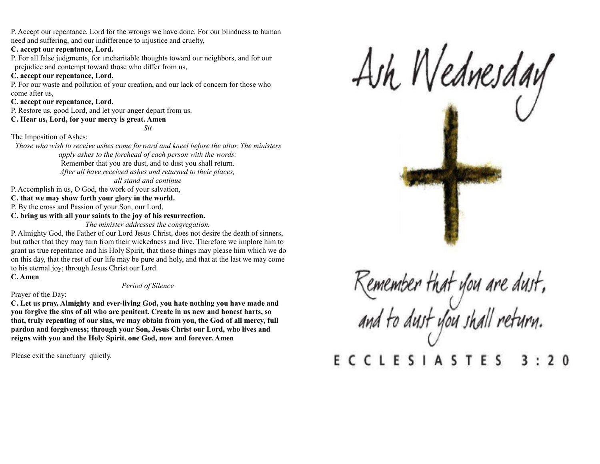P. Accept our repentance, Lord for the wrongs we have done. For our blindness to human need and suffering, and our indifference to injustice and cruelty,

### **C. accept our repentance, Lord.**

P. For all false judgments, for uncharitable thoughts toward our neighbors, and for our prejudice and contempt toward those who differ from us,

## **C. accept our repentance, Lord.**

P. For our waste and pollution of your creation, and our lack of concern for those who come after us,

## **C. accept our repentance, Lord.**

P. Restore us, good Lord, and let your anger depart from us.

## **C. Hear us, Lord, for your mercy is great. Amen**

*Sit*

# The Imposition of Ashes:

*Those who wish to receive ashes come forward and kneel before the altar. The ministers apply ashes to the forehead of each person with the words:* Remember that you are dust, and to dust you shall return. *After all have received ashes and returned to their places, all stand and continue*

P. Accomplish in us, O God, the work of your salvation,

**C. that we may show forth your glory in the world.**

P. By the cross and Passion of your Son, our Lord,

**C. bring us with all your saints to the joy of his resurrection.**

*The minister addresses the congregation.*

P. Almighty God, the Father of our Lord Jesus Christ, does not desire the death of sinners, but rather that they may turn from their wickedness and live. Therefore we implore him to grant us true repentance and his Holy Spirit, that those things may please him which we do on this day, that the rest of our life may be pure and holy, and that at the last we may come to his eternal joy; through Jesus Christ our Lord.

**C. Amen**

# *Period of Silence*

## Prayer of the Day:

**C. Let us pray. Almighty and ever-living God, you hate nothing you have made and you forgive the sins of all who are penitent. Create in us new and honest harts, so that, truly repenting of our sins, we may obtain from you, the God of all mercy, full pardon and forgiveness; through your Son, Jesus Christ our Lord, who lives and reigns with you and the Holy Spirit, one God, now and forever. Amen**

Please exit the sanctuary quietly.



Remember that you are dust,<br>and to dust you shall return. **ECCLESIASTES** 3  $\overline{2}$